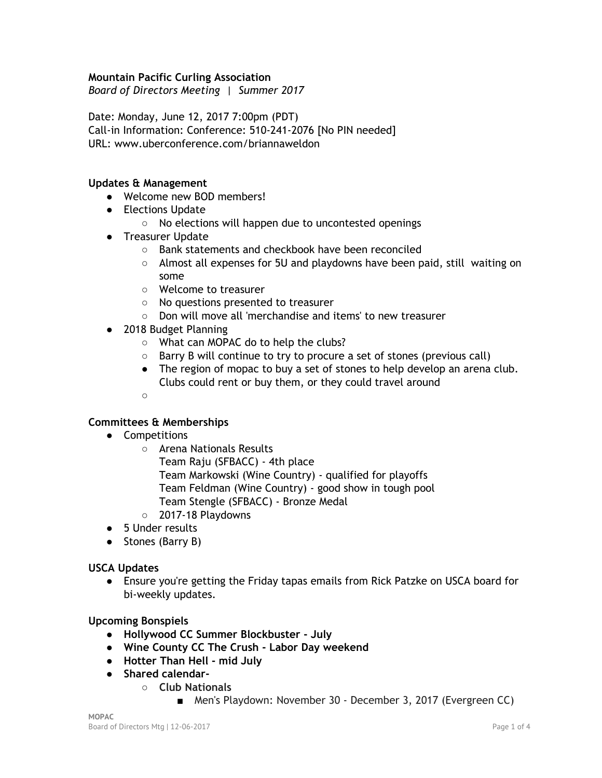# **Mountain Pacific Curling Association**

*Board of Directors Meeting | Summer 2017*

Date: Monday, June 12, 2017 7:00pm (PDT) Call-in Information: Conference: 510-241-2076 [No PIN needed] URL: www.uberconference.com/briannaweldon

## **Updates & Management**

- Welcome new BOD members!
- Elections Update
	- No elections will happen due to uncontested openings
- Treasurer Update
	- Bank statements and checkbook have been reconciled
	- $\circ$  Almost all expenses for 5U and playdowns have been paid, still waiting on some
	- Welcome to treasurer
	- No questions presented to treasurer
	- Don will move all 'merchandise and items' to new treasurer
- 2018 Budget Planning
	- What can MOPAC do to help the clubs?
	- Barry B will continue to try to procure a set of stones (previous call)
	- The region of mopac to buy a set of stones to help develop an arena club. Clubs could rent or buy them, or they could travel around
	- ○

# **Committees & Memberships**

- Competitions
	- Arena Nationals Results
		- Team Raju (SFBACC) 4th place
		- Team Markowski (Wine Country) qualified for playoffs
		- Team Feldman (Wine Country) good show in tough pool
	- Team Stengle (SFBACC) Bronze Medal
	- 2017-18 Playdowns
- 5 Under results
- Stones (Barry B)

#### **USCA Updates**

● Ensure you're getting the Friday tapas emails from Rick Patzke on USCA board for bi-weekly updates.

#### **Upcoming Bonspiels**

- **● Hollywood CC Summer Blockbuster - July**
- **● Wine County CC The Crush - Labor Day weekend**
- **● Hotter Than Hell - mid July**
- **● Shared calendar-**
	- **○ Club Nationals**
		- Men's Playdown: November 30 December 3, 2017 (Evergreen CC)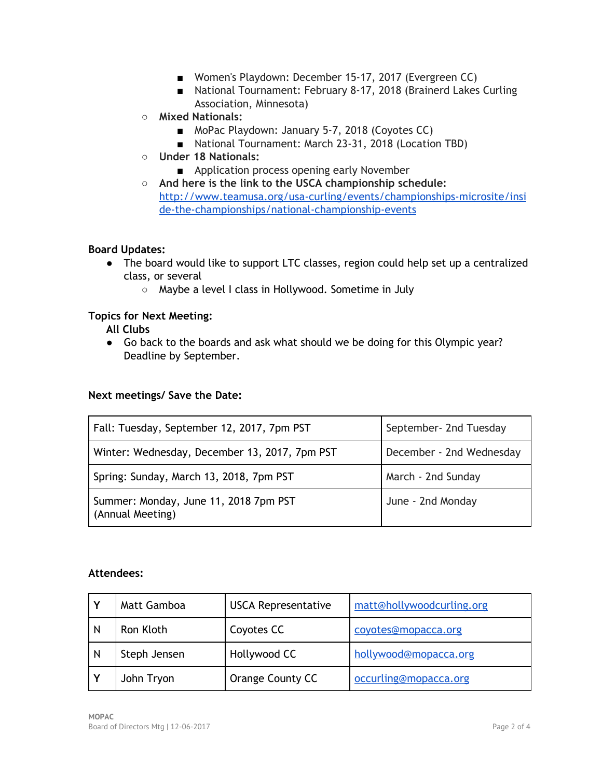- Women's Playdown: December 15-17, 2017 (Evergreen CC)
- National Tournament: February 8-17, 2018 (Brainerd Lakes Curling Association, Minnesota)
- **○ Mixed Nationals:**
	- MoPac Playdown: January 5-7, 2018 (Coyotes CC)
	- National Tournament: March 23-31, 2018 (Location TBD)
- **○ Under 18 Nationals:**
	- Application process opening early November
- **○ And here is the link to the USCA championship schedule:** [http://www.teamusa.org/usa-curling/events/championships-microsite/insi](http://www.teamusa.org/usa-curling/events/championships-microsite/inside-the-championships/national-championship-events) [de-the-championships/national-championship-events](http://www.teamusa.org/usa-curling/events/championships-microsite/inside-the-championships/national-championship-events)

# **Board Updates:**

- The board would like to support LTC classes, region could help set up a centralized class, or several
	- Maybe a level I class in Hollywood. Sometime in July

# **Topics for Next Meeting:**

**All Clubs**

● Go back to the boards and ask what should we be doing for this Olympic year? Deadline by September.

#### **Next meetings/ Save the Date:**

| Fall: Tuesday, September 12, 2017, 7pm PST                | September- 2nd Tuesday   |
|-----------------------------------------------------------|--------------------------|
| Winter: Wednesday, December 13, 2017, 7pm PST             | December - 2nd Wednesday |
| Spring: Sunday, March 13, 2018, 7pm PST                   | March - 2nd Sunday       |
| Summer: Monday, June 11, 2018 7pm PST<br>(Annual Meeting) | June - 2nd Monday        |

# **Attendees:**

|   | Matt Gamboa  | <b>USCA Representative</b> | matt@hollywoodcurling.org |
|---|--------------|----------------------------|---------------------------|
| N | Ron Kloth    | Coyotes CC                 | coyotes@mopacca.org       |
| N | Steph Jensen | Hollywood CC               | hollywood@mopacca.org     |
|   | John Tryon   | Orange County CC           | occurling@mopacca.org     |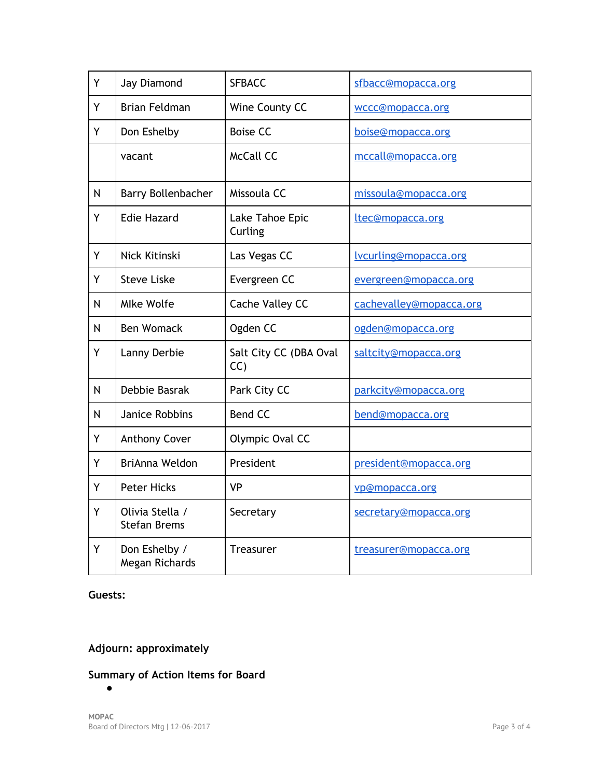| Y | Jay Diamond                            | <b>SFBACC</b>                | sfbacc@mopacca.org           |
|---|----------------------------------------|------------------------------|------------------------------|
| Y | <b>Brian Feldman</b>                   | Wine County CC               | wccc@mopacca.org             |
| Y | Don Eshelby                            | <b>Boise CC</b>              | boise@mopacca.org            |
|   | vacant                                 | <b>McCall CC</b>             | mccall@mopacca.org           |
| N | Barry Bollenbacher                     | Missoula CC                  | missoula@mopacca.org         |
| Y | <b>Edie Hazard</b>                     | Lake Tahoe Epic<br>Curling   | ltec@mopacca.org             |
| Y | Nick Kitinski                          | Las Vegas CC                 | <u>lvcurling@mopacca.org</u> |
| Y | <b>Steve Liske</b>                     | Evergreen CC                 | evergreen@mopacca.org        |
| N | <b>Mlke Wolfe</b>                      | Cache Valley CC              | cachevalley@mopacca.org      |
| N | <b>Ben Womack</b>                      | Ogden CC                     | ogden@mopacca.org            |
| Y | Lanny Derbie                           | Salt City CC (DBA Oval<br>CC | saltcity@mopacca.org         |
| N | Debbie Basrak                          | Park City CC                 | parkcity@mopacca.org         |
| N | Janice Robbins                         | <b>Bend CC</b>               | bend@mopacca.org             |
| Y | <b>Anthony Cover</b>                   | Olympic Oval CC              |                              |
| Y | BriAnna Weldon                         | President                    | president@mopacca.org        |
| Y | <b>Peter Hicks</b>                     | <b>VP</b>                    | vp@mopacca.org               |
| Y | Olivia Stella /<br><b>Stefan Brems</b> | Secretary                    | secretary@mopacca.org        |
| Y | Don Eshelby /<br>Megan Richards        | Treasurer                    | treasurer@mopacca.org        |

# **Guests:**

# **Adjourn: approximately**

# **Summary of Action Items for Board**